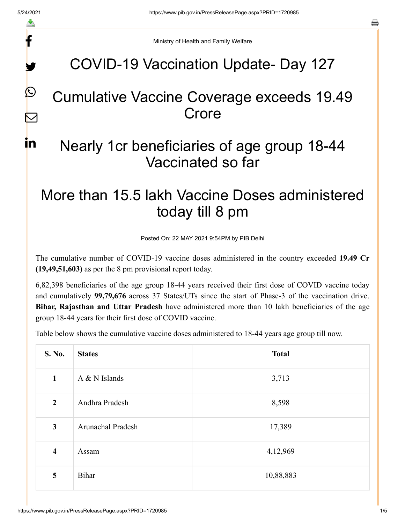f

y.

 $\boldsymbol{\mathcal{Q}}$ 

 $\color{red} \blacktriangleright$ 

in.

a

Ministry of Health and Family Welfare

## COVID-19 Vaccination Update- Day 127

## Cumulative Vaccine Coverage exceeds 19.49 **Crore**

## Nearly 1cr beneficiaries of age group 18-44 Vaccinated so far

# More than 15.5 lakh Vaccine Doses administered today till 8 pm

Posted On: 22 MAY 2021 9:54PM by PIB Delhi

The cumulative number of COVID-19 vaccine doses administered in the country exceeded **19.49 Cr (19,49,51,603)** as per the 8 pm provisional report today.

6,82,398 beneficiaries of the age group 18-44 years received their first dose of COVID vaccine today and cumulatively **99,79,676** across 37 States/UTs since the start of Phase-3 of the vaccination drive. **Bihar, Rajasthan and Uttar Pradesh** have administered more than 10 lakh beneficiaries of the age group 18-44 years for their first dose of COVID vaccine.

Table below shows the cumulative vaccine doses administered to 18-44 years age group till now.

| S. No.                  | <b>States</b>            | <b>Total</b> |
|-------------------------|--------------------------|--------------|
| $\mathbf{1}$            | $A & N$ Islands          | 3,713        |
| $\overline{2}$          | Andhra Pradesh           | 8,598        |
| $\mathbf{3}$            | <b>Arunachal Pradesh</b> | 17,389       |
| $\overline{\mathbf{4}}$ | Assam                    | 4,12,969     |
| 5                       | Bihar                    | 10,88,883    |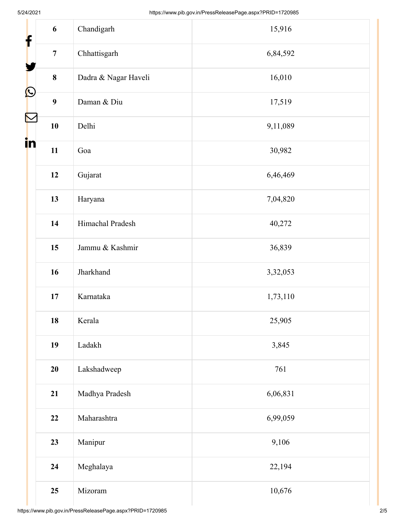| f                         | 6                | Chandigarh           | 15,916   |
|---------------------------|------------------|----------------------|----------|
|                           | $\overline{7}$   | Chhattisgarh         | 6,84,592 |
|                           | $\bf{8}$         | Dadra & Nagar Haveli | 16,010   |
| $\mathbf{\Omega}$         | $\boldsymbol{9}$ | Daman & Diu          | 17,519   |
| $\boldsymbol{\mathsf{N}}$ | 10               | Delhi                | 9,11,089 |
| in                        | 11               | Goa                  | 30,982   |
|                           | 12               | Gujarat              | 6,46,469 |
|                           | 13               | Haryana              | 7,04,820 |
|                           | 14               | Himachal Pradesh     | 40,272   |
|                           | 15               | Jammu & Kashmir      | 36,839   |
|                           | 16               | Jharkhand            | 3,32,053 |
|                           | $17\,$           | Karnataka            | 1,73,110 |
|                           | 18               | Kerala               | 25,905   |
|                           | 19               | Ladakh               | 3,845    |
|                           | 20               | Lakshadweep          | 761      |
|                           | 21               | Madhya Pradesh       | 6,06,831 |
|                           | 22               | Maharashtra          | 6,99,059 |
|                           | 23               | Manipur              | 9,106    |
|                           | 24               | Meghalaya            | 22,194   |
|                           | 25               | Mizoram              | 10,676   |

Ш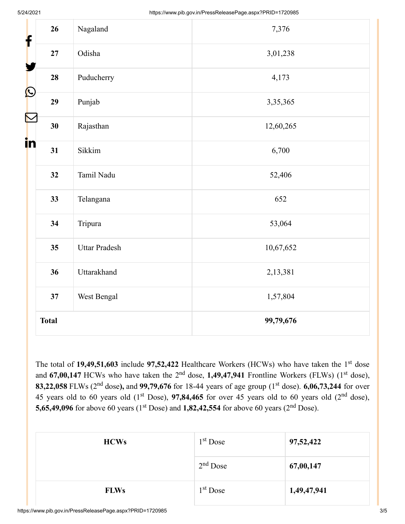| f                     | 26           | Nagaland             | 7,376     |  |
|-----------------------|--------------|----------------------|-----------|--|
|                       | $\bf 27$     | Odisha               | 3,01,238  |  |
|                       | 28           | Puducherry           | 4,173     |  |
| $\bigcirc$            | 29           | Punjab               | 3,35,365  |  |
| $\blacktriangleright$ | 30           | Rajasthan            | 12,60,265 |  |
| in                    | 31           | Sikkim               | 6,700     |  |
|                       | 32           | Tamil Nadu           | 52,406    |  |
|                       | 33           | Telangana            | 652       |  |
|                       | 34           | Tripura              | 53,064    |  |
|                       | 35           | <b>Uttar Pradesh</b> | 10,67,652 |  |
|                       | 36           | Uttarakhand          | 2,13,381  |  |
|                       | 37           | West Bengal          | 1,57,804  |  |
|                       | <b>Total</b> |                      | 99,79,676 |  |

The total of  $19,49,51,603$  include  $97,52,422$  Healthcare Workers (HCWs) who have taken the 1<sup>st</sup> dose and 67,00,147 HCWs who have taken the 2<sup>nd</sup> dose, 1,49,47,941 Frontline Workers (FLWs) (1<sup>st</sup> dose), 83,22,058 FLWs (2<sup>nd</sup> dose), and 99,79,676 for 18-44 years of age group (1<sup>st</sup> dose). 6,06,73,244 for over 45 years old to 60 years old  $(1<sup>st</sup> Does)$ , 97,84,465 for over 45 years old to 60 years old  $(2<sup>nd</sup> dose)$ , **5,65,49,096** for above 60 years (1<sup>st</sup> Dose) and **1,82,42,554** for above 60 years (2<sup>nd</sup> Dose).

| <b>HCWs</b> | $1st$ Dose           | 97,52,422   |
|-------------|----------------------|-------------|
|             | $2nd$ Dose           | 67,00,147   |
| <b>FLWs</b> | 1 <sup>st</sup> Dose | 1,49,47,941 |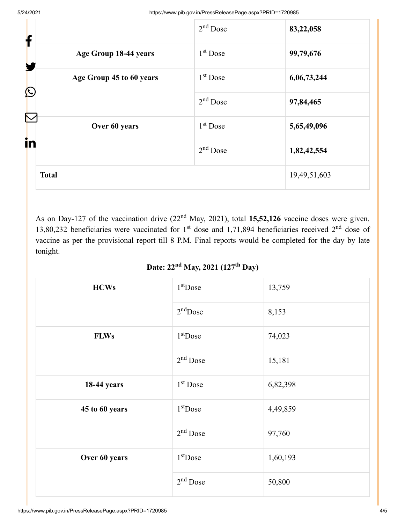| f                                            | $2nd$ Dose | 83,22,058    |
|----------------------------------------------|------------|--------------|
| Age Group 18-44 years<br>Y                   | $1st$ Dose | 99,79,676    |
| Age Group 45 to 60 years                     | $1st$ Dose | 6,06,73,244  |
| $\bigcirc$                                   | $2nd$ Dose | 97,84,465    |
| $\boldsymbol{\nabla}$<br>Over 60 years<br>in | $1st$ Dose | 5,65,49,096  |
|                                              | $2nd$ Dose | 1,82,42,554  |
| <b>Total</b>                                 |            | 19,49,51,603 |

As on Day-127 of the vaccination drive  $(22<sup>nd</sup>$  May, 2021), total 15,52,126 vaccine doses were given. 13,80,232 beneficiaries were vaccinated for  $1<sup>st</sup>$  dose and 1,71,894 beneficiaries received  $2<sup>nd</sup>$  dose of vaccine as per the provisional report till 8 P.M. Final reports would be completed for the day by late tonight.

#### Date: 22<sup>nd</sup> May, 2021 (127<sup>th</sup> Day)

| <b>HCWs</b>        | $1st$ Dose | 13,759   |
|--------------------|------------|----------|
|                    | $2nd$ Dose | 8,153    |
| <b>FLWs</b>        | $1st$ Dose | 74,023   |
|                    | $2nd$ Dose | 15,181   |
| <b>18-44 years</b> | $1st$ Dose | 6,82,398 |
| 45 to 60 years     | $1st$ Dose | 4,49,859 |
|                    | $2nd$ Dose | 97,760   |
| Over 60 years      | $1st$ Dose | 1,60,193 |
|                    | $2nd$ Dose | 50,800   |